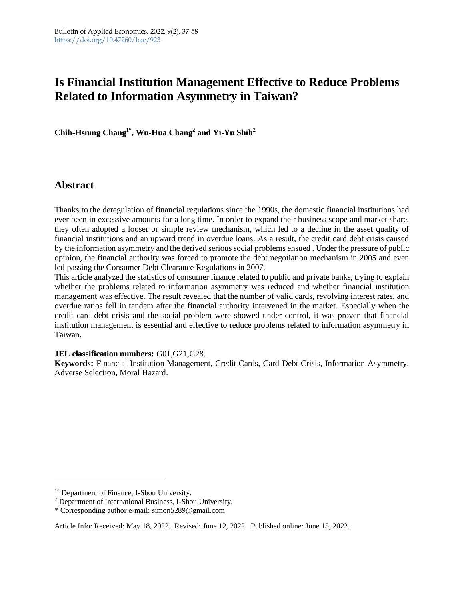# **Is Financial Institution Management Effective to Reduce Problems Related to Information Asymmetry in Taiwan?**

**Chih-Hsiung Chang1\* , Wu-Hua Chang<sup>2</sup> and Yi-Yu Shih<sup>2</sup>**

## **Abstract**

Thanks to the deregulation of financial regulations since the 1990s, the domestic financial institutions had ever been in excessive amounts for a long time. In order to expand their business scope and market share, they often adopted a looser or simple review mechanism, which led to a decline in the asset quality of financial institutions and an upward trend in overdue loans. As a result, the credit card debt crisis caused by the information asymmetry and the derived serious social problems ensued . Under the pressure of public opinion, the financial authority was forced to promote the debt negotiation mechanism in 2005 and even led passing the Consumer Debt Clearance Regulations in 2007.

This article analyzed the statistics of consumer finance related to public and private banks, trying to explain whether the problems related to information asymmetry was reduced and whether financial institution management was effective. The result revealed that the number of valid cards, revolving interest rates, and overdue ratios fell in tandem after the financial authority intervened in the market. Especially when the credit card debt crisis and the social problem were showed under control, it was proven that financial institution management is essential and effective to reduce problems related to information asymmetry in Taiwan.

## **JEL classification numbers:** G01,G21,G28.

**Keywords:** Financial Institution Management, Credit Cards, Card Debt Crisis, Information Asymmetry, Adverse Selection, Moral Hazard.

<sup>&</sup>lt;sup>1\*</sup> Department of Finance, I-Shou University.

<sup>2</sup> Department of International Business, I-Shou University.

<sup>\*</sup> Corresponding author e-mail: simon5289@gmail.com

Article Info: Received: May 18, 2022. Revised: June 12, 2022. Published online: June 15, 2022.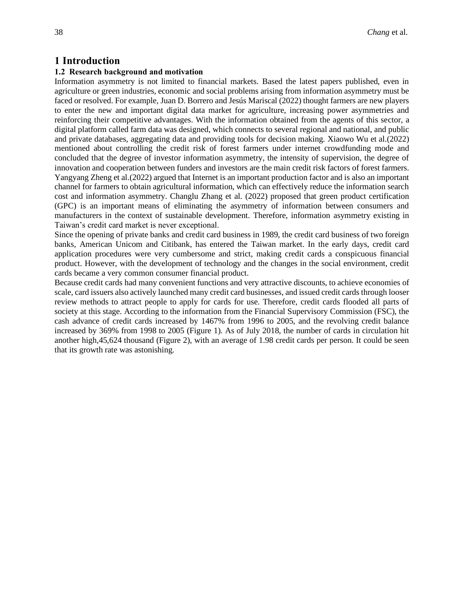## **1 Introduction**

## **1.2 Research background and motivation**

Information asymmetry is not limited to financial markets. Based the latest papers published, even in agriculture or green industries, economic and social problems arising from information asymmetry must be faced or resolved. For example, Juan D. Borrero and Jesús Mariscal (2022) thought farmers are new players to enter the new and important digital data market for agriculture, increasing power asymmetries and reinforcing their competitive advantages. With the information obtained from the agents of this sector, a digital platform called farm data was designed, which connects to several regional and national, and public and private databases, aggregating data and providing tools for decision making. Xiaowo Wu et al.(2022) mentioned about controlling the credit risk of forest farmers under internet crowdfunding mode and concluded that the degree of investor information asymmetry, the intensity of supervision, the degree of innovation and cooperation between funders and investors are the main credit risk factors of forest farmers. Yangyang Zheng et al.(2022) argued that Internet is an important production factor and is also an important channel for farmers to obtain agricultural information, which can effectively reduce the information search cost and information asymmetry. Changlu Zhang et al. (2022) proposed that green product certification (GPC) is an important means of eliminating the asymmetry of information between consumers and manufacturers in the context of sustainable development. Therefore, information asymmetry existing in Taiwan's credit card market is never exceptional.

Since the opening of private banks and credit card business in 1989, the credit card business of two foreign banks, American Unicom and Citibank, has entered the Taiwan market. In the early days, credit card application procedures were very cumbersome and strict, making credit cards a conspicuous financial product. However, with the development of technology and the changes in the social environment, credit cards became a very common consumer financial product.

Because credit cards had many convenient functions and very attractive discounts, to achieve economies of scale, card issuers also actively launched many credit card businesses, and issued credit cards through looser review methods to attract people to apply for cards for use. Therefore, credit cards flooded all parts of society at this stage. According to the information from the Financial Supervisory Commission (FSC), the cash advance of credit cards increased by 1467% from 1996 to 2005, and the revolving credit balance increased by 369% from 1998 to 2005 (Figure 1). As of July 2018, the number of cards in circulation hit another high,45,624 thousand (Figure 2), with an average of 1.98 credit cards per person. It could be seen that its growth rate was astonishing.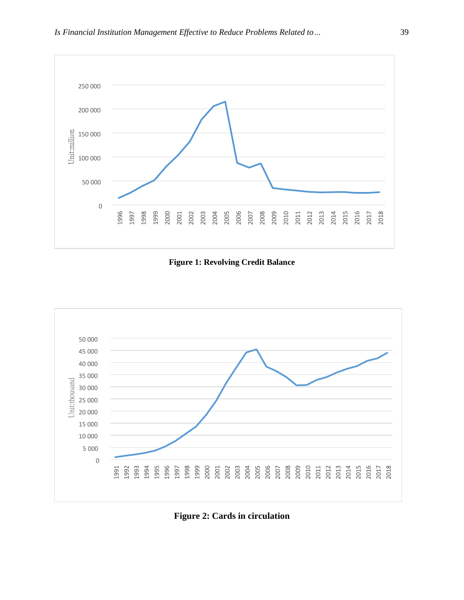

**Figure 1: Revolving Credit Balance**



**Figure 2: Cards in circulation**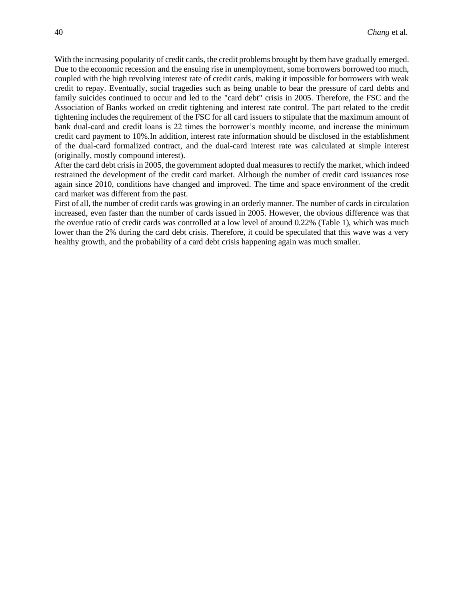With the increasing popularity of credit cards, the credit problems brought by them have gradually emerged. Due to the economic recession and the ensuing rise in unemployment, some borrowers borrowed too much, coupled with the high revolving interest rate of credit cards, making it impossible for borrowers with weak credit to repay. Eventually, social tragedies such as being unable to bear the pressure of card debts and family suicides continued to occur and led to the "card debt" crisis in 2005. Therefore, the FSC and the Association of Banks worked on credit tightening and interest rate control. The part related to the credit tightening includes the requirement of the FSC for all card issuers to stipulate that the maximum amount of bank dual-card and credit loans is 22 times the borrower's monthly income, and increase the minimum credit card payment to 10%.In addition, interest rate information should be disclosed in the establishment of the dual-card formalized contract, and the dual-card interest rate was calculated at simple interest (originally, mostly compound interest).

After the card debt crisis in 2005, the government adopted dual measures to rectify the market, which indeed restrained the development of the credit card market. Although the number of credit card issuances rose again since 2010, conditions have changed and improved. The time and space environment of the credit card market was different from the past.

First of all, the number of credit cards was growing in an orderly manner. The number of cards in circulation increased, even faster than the number of cards issued in 2005. However, the obvious difference was that the overdue ratio of credit cards was controlled at a low level of around 0.22% (Table 1), which was much lower than the 2% during the card debt crisis. Therefore, it could be speculated that this wave was a very healthy growth, and the probability of a card debt crisis happening again was much smaller.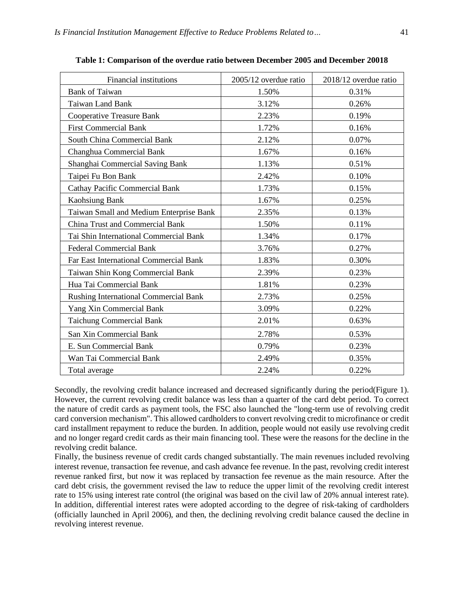$\mathsf{r}$ 

| <b>Financial institutions</b>           | 2005/12 overdue ratio | 2018/12 overdue ratio |
|-----------------------------------------|-----------------------|-----------------------|
| <b>Bank of Taiwan</b>                   | 1.50%                 | 0.31%                 |
| Taiwan Land Bank                        | 3.12%                 | 0.26%                 |
| <b>Cooperative Treasure Bank</b>        | 2.23%                 | 0.19%                 |
| <b>First Commercial Bank</b>            | 1.72%                 | 0.16%                 |
| <b>South China Commercial Bank</b>      | 2.12%                 | 0.07%                 |
| Changhua Commercial Bank                | 1.67%                 | 0.16%                 |
| Shanghai Commercial Saving Bank         | 1.13%                 | 0.51%                 |
| Taipei Fu Bon Bank                      | 2.42%                 | 0.10%                 |
| <b>Cathay Pacific Commercial Bank</b>   | 1.73%                 | 0.15%                 |
| Kaohsiung Bank                          | 1.67%                 | 0.25%                 |
| Taiwan Small and Medium Enterprise Bank | 2.35%                 | 0.13%                 |
| <b>China Trust and Commercial Bank</b>  | 1.50%                 | 0.11%                 |
| Tai Shin International Commercial Bank  | 1.34%                 | 0.17%                 |
| <b>Federal Commercial Bank</b>          | 3.76%                 | 0.27%                 |
| Far East International Commercial Bank  | 1.83%                 | 0.30%                 |
| Taiwan Shin Kong Commercial Bank        | 2.39%                 | 0.23%                 |
| Hua Tai Commercial Bank                 | 1.81%                 | 0.23%                 |
| Rushing International Commercial Bank   | 2.73%                 | 0.25%                 |
| Yang Xin Commercial Bank                | 3.09%                 | 0.22%                 |
| <b>Taichung Commercial Bank</b>         | 2.01%                 | 0.63%                 |
| San Xin Commercial Bank                 | 2.78%                 | 0.53%                 |
| E. Sun Commercial Bank                  | 0.79%                 | 0.23%                 |
| Wan Tai Commercial Bank                 | 2.49%                 | 0.35%                 |
| Total average                           | 2.24%                 | 0.22%                 |

**Table 1: Comparison of the overdue ratio between December 2005 and December 20018**

Secondly, the revolving credit balance increased and decreased significantly during the period(Figure 1). However, the current revolving credit balance was less than a quarter of the card debt period. To correct the nature of credit cards as payment tools, the FSC also launched the "long-term use of revolving credit card conversion mechanism". This allowed cardholders to convert revolving credit to microfinance or credit card installment repayment to reduce the burden. In addition, people would not easily use revolving credit and no longer regard credit cards as their main financing tool. These were the reasons for the decline in the revolving credit balance.

Finally, the business revenue of credit cards changed substantially. The main revenues included revolving interest revenue, transaction fee revenue, and cash advance fee revenue. In the past, revolving credit interest revenue ranked first, but now it was replaced by transaction fee revenue as the main resource. After the card debt crisis, the government revised the law to reduce the upper limit of the revolving credit interest rate to 15% using interest rate control (the original was based on the civil law of 20% annual interest rate). In addition, differential interest rates were adopted according to the degree of risk-taking of cardholders (officially launched in April 2006), and then, the declining revolving credit balance caused the decline in revolving interest revenue.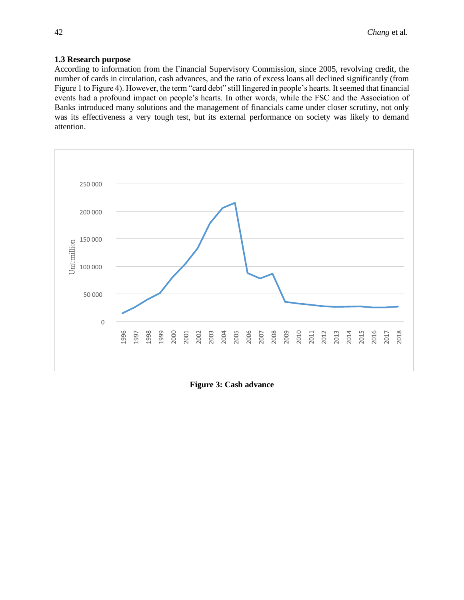### **1.3 Research purpose**

According to information from the Financial Supervisory Commission, since 2005, revolving credit, the number of cards in circulation, cash advances, and the ratio of excess loans all declined significantly (from Figure 1 to Figure 4). However, the term "card debt" still lingered in people's hearts. It seemed that financial events had a profound impact on people's hearts. In other words, while the FSC and the Association of Banks introduced many solutions and the management of financials came under closer scrutiny, not only was its effectiveness a very tough test, but its external performance on society was likely to demand attention.



**Figure 3: Cash advance**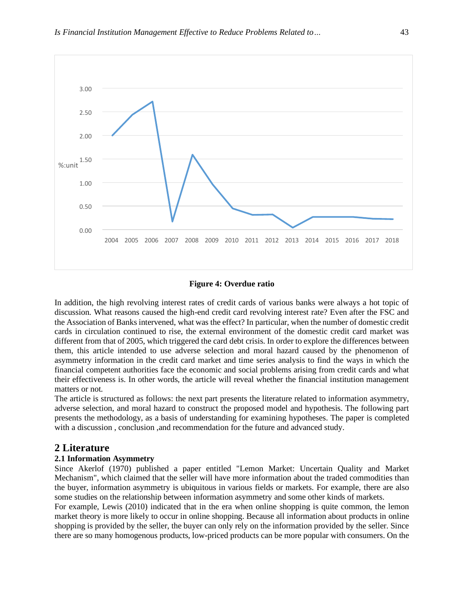

#### **Figure 4: Overdue ratio**

In addition, the high revolving interest rates of credit cards of various banks were always a hot topic of discussion. What reasons caused the high-end credit card revolving interest rate? Even after the FSC and the Association of Banks intervened, what was the effect? In particular, when the number of domestic credit cards in circulation continued to rise, the external environment of the domestic credit card market was different from that of 2005, which triggered the card debt crisis. In order to explore the differences between them, this article intended to use adverse selection and moral hazard caused by the phenomenon of asymmetry information in the credit card market and time series analysis to find the ways in which the financial competent authorities face the economic and social problems arising from credit cards and what their effectiveness is. In other words, the article will reveal whether the financial institution management matters or not.

The article is structured as follows: the next part presents the literature related to information asymmetry, adverse selection, and moral hazard to construct the proposed model and hypothesis. The following part presents the methodology, as a basis of understanding for examining hypotheses. The paper is completed with a discussion, conclusion ,and recommendation for the future and advanced study.

## **2 Literature**

## **2.1 Information Asymmetry**

Since Akerlof (1970) published a paper entitled "Lemon Market: Uncertain Quality and Market Mechanism", which claimed that the seller will have more information about the traded commodities than the buyer, information asymmetry is ubiquitous in various fields or markets. For example, there are also some studies on the relationship between information asymmetry and some other kinds of markets.

For example, Lewis (2010) indicated that in the era when online shopping is quite common, the lemon market theory is more likely to occur in online shopping. Because all information about products in online shopping is provided by the seller, the buyer can only rely on the information provided by the seller. Since there are so many homogenous products, low-priced products can be more popular with consumers. On the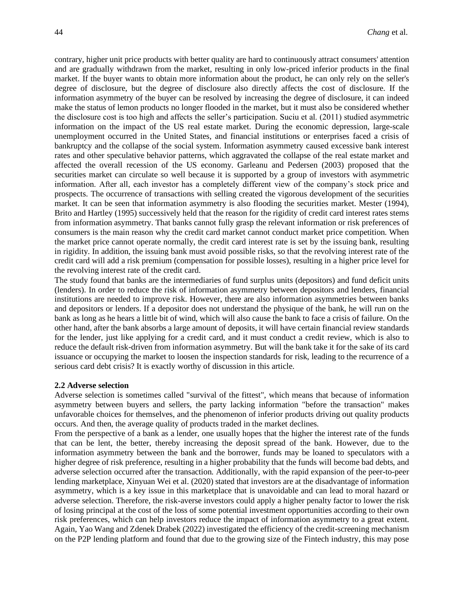contrary, higher unit price products with better quality are hard to continuously attract consumers' attention and are gradually withdrawn from the market, resulting in only low-priced inferior products in the final market. If the buyer wants to obtain more information about the product, he can only rely on the seller's degree of disclosure, but the degree of disclosure also directly affects the cost of disclosure. If the information asymmetry of the buyer can be resolved by increasing the degree of disclosure, it can indeed make the status of lemon products no longer flooded in the market, but it must also be considered whether the disclosure cost is too high and affects the seller's participation. Suciu et al. (2011) studied asymmetric information on the impact of the US real estate market. During the economic depression, large-scale unemployment occurred in the United States, and financial institutions or enterprises faced a crisis of bankruptcy and the collapse of the social system. Information asymmetry caused excessive bank interest rates and other speculative behavior patterns, which aggravated the collapse of the real estate market and affected the overall recession of the US economy. Garleanu and Pedersen (2003) proposed that the securities market can circulate so well because it is supported by a group of investors with asymmetric information. After all, each investor has a completely different view of the company's stock price and prospects. The occurrence of transactions with selling created the vigorous development of the securities market. It can be seen that information asymmetry is also flooding the securities market. Mester (1994), Brito and Hartley (1995) successively held that the reason for the rigidity of credit card interest rates stems from information asymmetry. That banks cannot fully grasp the relevant information or risk preferences of consumers is the main reason why the credit card market cannot conduct market price competition. When the market price cannot operate normally, the credit card interest rate is set by the issuing bank, resulting in rigidity. In addition, the issuing bank must avoid possible risks, so that the revolving interest rate of the credit card will add a risk premium (compensation for possible losses), resulting in a higher price level for the revolving interest rate of the credit card.

The study found that banks are the intermediaries of fund surplus units (depositors) and fund deficit units (lenders). In order to reduce the risk of information asymmetry between depositors and lenders, financial institutions are needed to improve risk. However, there are also information asymmetries between banks and depositors or lenders. If a depositor does not understand the physique of the bank, he will run on the bank as long as he hears a little bit of wind, which will also cause the bank to face a crisis of failure. On the other hand, after the bank absorbs a large amount of deposits, it will have certain financial review standards for the lender, just like applying for a credit card, and it must conduct a credit review, which is also to reduce the default risk-driven from information asymmetry. But will the bank take it for the sake of its card issuance or occupying the market to loosen the inspection standards for risk, leading to the recurrence of a serious card debt crisis? It is exactly worthy of discussion in this article.

#### **2.2 Adverse selection**

Adverse selection is sometimes called "survival of the fittest", which means that because of information asymmetry between buyers and sellers, the party lacking information "before the transaction" makes unfavorable choices for themselves, and the phenomenon of inferior products driving out quality products occurs. And then, the average quality of products traded in the market declines.

From the perspective of a bank as a lender, one usually hopes that the higher the interest rate of the funds that can be lent, the better, thereby increasing the deposit spread of the bank. However, due to the information asymmetry between the bank and the borrower, funds may be loaned to speculators with a higher degree of risk preference, resulting in a higher probability that the funds will become bad debts, and adverse selection occurred after the transaction. Additionally, with the rapid expansion of the peer-to-peer lending marketplace, Xinyuan Wei et al. (2020) stated that investors are at the disadvantage of information asymmetry, which is a key issue in this marketplace that is unavoidable and can lead to moral hazard or adverse selection. Therefore, the risk-averse investors could apply a higher penalty factor to lower the risk of losing principal at the cost of the loss of some potential investment opportunities according to their own risk preferences, which can help investors reduce the impact of information asymmetry to a great extent. Again, Yao Wang and Zdenek Drabek (2022) investigated the efficiency of the credit-screening mechanism on the P2P lending platform and found that due to the growing size of the Fintech industry, this may pose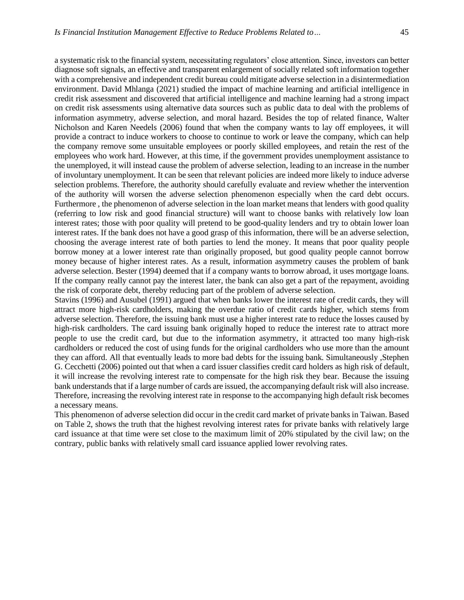a systematic risk to the financial system, necessitating regulators' close attention. Since, investors can better diagnose soft signals, an effective and transparent enlargement of socially related soft information together with a comprehensive and independent credit bureau could mitigate adverse selection in a disintermediation environment. David Mhlanga (2021) studied the impact of machine learning and artificial intelligence in credit risk assessment and discovered that artificial intelligence and machine learning had a strong impact on credit risk assessments using alternative data sources such as public data to deal with the problems of information asymmetry, adverse selection, and moral hazard. Besides the top of related finance, Walter Nicholson and Karen Needels (2006) found that when the company wants to lay off employees, it will provide a contract to induce workers to choose to continue to work or leave the company, which can help the company remove some unsuitable employees or poorly skilled employees, and retain the rest of the employees who work hard. However, at this time, if the government provides unemployment assistance to the unemployed, it will instead cause the problem of adverse selection, leading to an increase in the number of involuntary unemployment. It can be seen that relevant policies are indeed more likely to induce adverse selection problems. Therefore, the authority should carefully evaluate and review whether the intervention of the authority will worsen the adverse selection phenomenon especially when the card debt occurs. Furthermore , the phenomenon of adverse selection in the loan market means that lenders with good quality (referring to low risk and good financial structure) will want to choose banks with relatively low loan interest rates; those with poor quality will pretend to be good-quality lenders and try to obtain lower loan interest rates. If the bank does not have a good grasp of this information, there will be an adverse selection, choosing the average interest rate of both parties to lend the money. It means that poor quality people borrow money at a lower interest rate than originally proposed, but good quality people cannot borrow money because of higher interest rates. As a result, information asymmetry causes the problem of bank adverse selection. Bester (1994) deemed that if a company wants to borrow abroad, it uses mortgage loans. If the company really cannot pay the interest later, the bank can also get a part of the repayment, avoiding the risk of corporate debt, thereby reducing part of the problem of adverse selection.

Stavins (1996) and Ausubel (1991) argued that when banks lower the interest rate of credit cards, they will attract more high-risk cardholders, making the overdue ratio of credit cards higher, which stems from adverse selection. Therefore, the issuing bank must use a higher interest rate to reduce the losses caused by high-risk cardholders. The card issuing bank originally hoped to reduce the interest rate to attract more people to use the credit card, but due to the information asymmetry, it attracted too many high-risk cardholders or reduced the cost of using funds for the original cardholders who use more than the amount they can afford. All that eventually leads to more bad debts for the issuing bank. Simultaneously ,Stephen G. Cecchetti (2006) pointed out that when a card issuer classifies credit card holders as high risk of default, it will increase the revolving interest rate to compensate for the high risk they bear. Because the issuing bank understands that if a large number of cards are issued, the accompanying default risk will also increase. Therefore, increasing the revolving interest rate in response to the accompanying high default risk becomes a necessary means.

This phenomenon of adverse selection did occur in the credit card market of private banks in Taiwan. Based on Table 2, shows the truth that the highest revolving interest rates for private banks with relatively large card issuance at that time were set close to the maximum limit of 20% stipulated by the civil law; on the contrary, public banks with relatively small card issuance applied lower revolving rates.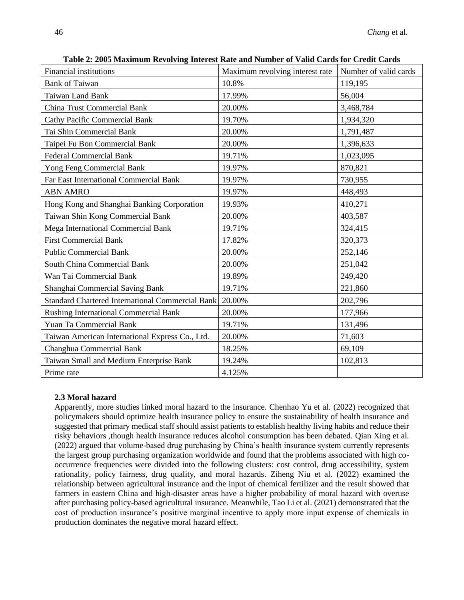| <b>Financial institutions</b>                    | Maximum revolving interest rate | Number of valid cards |
|--------------------------------------------------|---------------------------------|-----------------------|
| <b>Bank of Taiwan</b>                            | 10.8%                           | 119,195               |
| <b>Taiwan Land Bank</b>                          | 17.99%                          | 56,004                |
| <b>China Trust Commercial Bank</b>               | 20.00%                          | 3,468,784             |
| <b>Cathy Pacific Commercial Bank</b>             | 19.70%                          | 1,934,320             |
| Tai Shin Commercial Bank                         | 20.00%                          | 1,791,487             |
| Taipei Fu Bon Commercial Bank                    | 20.00%                          | 1,396,633             |
| <b>Federal Commercial Bank</b>                   | 19.71%                          | 1,023,095             |
| Yong Feng Commercial Bank                        | 19.97%                          | 870,821               |
| Far East International Commercial Bank           | 19.97%                          | 730,955               |
| <b>ABN AMRO</b>                                  | 19.97%                          | 448,493               |
| Hong Kong and Shanghai Banking Corporation       | 19.93%                          | 410,271               |
| Taiwan Shin Kong Commercial Bank                 | 20.00%                          | 403,587               |
| Mega International Commercial Bank               | 19.71%                          | 324,415               |
| <b>First Commercial Bank</b>                     | 17.82%                          | 320,373               |
| <b>Public Commercial Bank</b>                    | 20.00%                          | 252,146               |
| South China Commercial Bank                      | 20.00%                          | 251,042               |
| Wan Tai Commercial Bank                          | 19.89%                          | 249,420               |
| Shanghai Commercial Saving Bank                  | 19.71%                          | 221,860               |
| Standard Chartered International Commercial Bank | 20.00%                          | 202,796               |
| Rushing International Commercial Bank            | 20.00%                          | 177,966               |
| <b>Yuan Ta Commercial Bank</b>                   | 19.71%                          | 131,496               |
| Taiwan American International Express Co., Ltd.  | 20.00%                          | 71,603                |
| <b>Changhua Commercial Bank</b>                  | 18.25%                          | 69,109                |
| Taiwan Small and Medium Enterprise Bank          | 19.24%                          | 102,813               |
| Prime rate                                       | 4.125%                          |                       |

**Table 2: 2005 Maximum Revolving Interest Rate and Number of Valid Cards for Credit Cards**

## **2.3 Moral hazard**

Apparently, more studies linked moral hazard to the insurance. Chenhao Yu et al. (2022) recognized that policymakers should optimize health insurance policy to ensure the sustainability of health insurance and suggested that primary medical staff should assist patients to establish healthy living habits and reduce their risky behaviors ,though health insurance reduces alcohol consumption has been debated. Qian Xing et al. (2022) argued that volume-based drug purchasing by China's health insurance system currently represents the largest group purchasing organization worldwide and found that the problems associated with high cooccurrence frequencies were divided into the following clusters: cost control, drug accessibility, system rationality, policy fairness, drug quality, and moral hazards. Ziheng Niu et al. (2022) examined the relationship between agricultural insurance and the input of chemical fertilizer and the result showed that farmers in eastern China and high-disaster areas have a higher probability of moral hazard with overuse after purchasing policy-based agricultural insurance. Meanwhile, Tao Li et al. (2021) demonstrated that the cost of production insurance's positive marginal incentive to apply more input expense of chemicals in production dominates the negative moral hazard effect.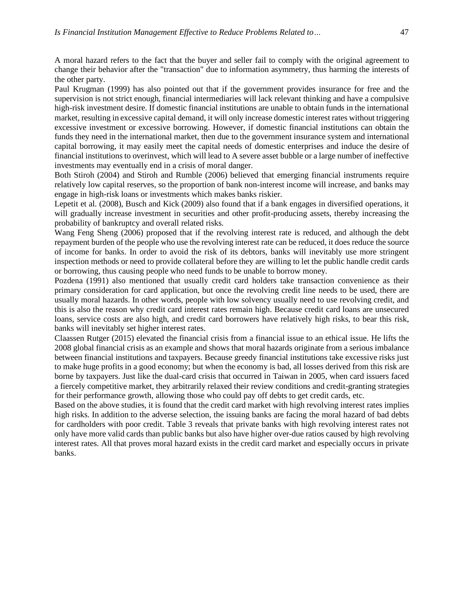A moral hazard refers to the fact that the buyer and seller fail to comply with the original agreement to change their behavior after the "transaction" due to information asymmetry, thus harming the interests of the other party.

Paul Krugman (1999) has also pointed out that if the government provides insurance for free and the supervision is not strict enough, financial intermediaries will lack relevant thinking and have a compulsive high-risk investment desire. If domestic financial institutions are unable to obtain funds in the international market, resulting in excessive capital demand, it will only increase domestic interest rates without triggering excessive investment or excessive borrowing. However, if domestic financial institutions can obtain the funds they need in the international market, then due to the government insurance system and international capital borrowing, it may easily meet the capital needs of domestic enterprises and induce the desire of financial institutions to overinvest, which will lead to A severe asset bubble or a large number of ineffective investments may eventually end in a crisis of moral danger.

Both Stiroh (2004) and Stiroh and Rumble (2006) believed that emerging financial instruments require relatively low capital reserves, so the proportion of bank non-interest income will increase, and banks may engage in high-risk loans or investments which makes banks riskier.

Lepetit et al. (2008), Busch and Kick (2009) also found that if a bank engages in diversified operations, it will gradually increase investment in securities and other profit-producing assets, thereby increasing the probability of bankruptcy and overall related risks.

Wang Feng Sheng (2006) proposed that if the revolving interest rate is reduced, and although the debt repayment burden of the people who use the revolving interest rate can be reduced, it does reduce the source of income for banks. In order to avoid the risk of its debtors, banks will inevitably use more stringent inspection methods or need to provide collateral before they are willing to let the public handle credit cards or borrowing, thus causing people who need funds to be unable to borrow money.

Pozdena (1991) also mentioned that usually credit card holders take transaction convenience as their primary consideration for card application, but once the revolving credit line needs to be used, there are usually moral hazards. In other words, people with low solvency usually need to use revolving credit, and this is also the reason why credit card interest rates remain high. Because credit card loans are unsecured loans, service costs are also high, and credit card borrowers have relatively high risks, to bear this risk, banks will inevitably set higher interest rates.

Claassen Rutger (2015) elevated the financial crisis from a financial issue to an ethical issue. He lifts the 2008 global financial crisis as an example and shows that moral hazards originate from a serious imbalance between financial institutions and taxpayers. Because greedy financial institutions take excessive risks just to make huge profits in a good economy; but when the economy is bad, all losses derived from this risk are borne by taxpayers. Just like the dual-card crisis that occurred in Taiwan in 2005, when card issuers faced a fiercely competitive market, they arbitrarily relaxed their review conditions and credit-granting strategies for their performance growth, allowing those who could pay off debts to get credit cards, etc.

Based on the above studies, it is found that the credit card market with high revolving interest rates implies high risks. In addition to the adverse selection, the issuing banks are facing the moral hazard of bad debts for cardholders with poor credit. Table 3 reveals that private banks with high revolving interest rates not only have more valid cards than public banks but also have higher over-due ratios caused by high revolving interest rates. All that proves moral hazard exists in the credit card market and especially occurs in private banks.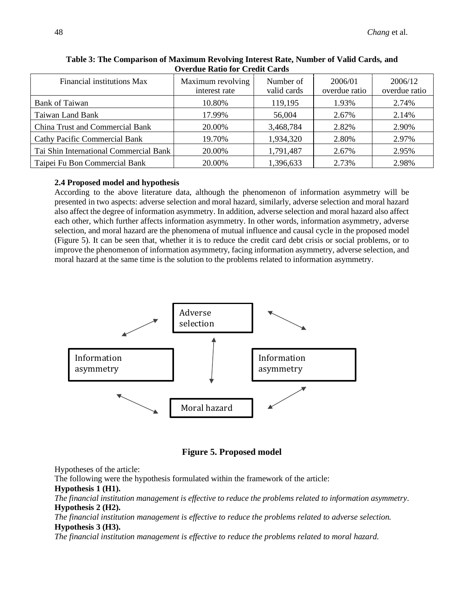| Financial institutions Max             | Maximum revolving<br>interest rate | Number of<br>valid cards | 2006/01<br>overdue ratio | 2006/12<br>overdue ratio |  |  |
|----------------------------------------|------------------------------------|--------------------------|--------------------------|--------------------------|--|--|
| <b>Bank of Taiwan</b>                  | 10.80%                             | 119,195                  | 1.93%                    | 2.74%                    |  |  |
| Taiwan Land Bank                       | 17.99%                             | 56,004                   | 2.67%                    | 2.14%                    |  |  |
| China Trust and Commercial Bank        | 20.00%                             | 3,468,784                | 2.82%                    | 2.90%                    |  |  |
| <b>Cathy Pacific Commercial Bank</b>   | 19.70%                             | 1,934,320                | 2.80%                    | 2.97%                    |  |  |
| Tai Shin International Commercial Bank | 20.00%                             | 1,791,487                | 2.67%                    | 2.95%                    |  |  |
| Taipei Fu Bon Commercial Bank          | 20.00%                             | 1,396,633                | 2.73%                    | 2.98%                    |  |  |

**Table 3: The Comparison of Maximum Revolving Interest Rate, Number of Valid Cards, and Overdue Ratio for Credit Cards**

#### **2.4 Proposed model and hypothesis**

According to the above literature data, although the phenomenon of information asymmetry will be presented in two aspects: adverse selection and moral hazard, similarly, adverse selection and moral hazard also affect the degree of information asymmetry. In addition, adverse selection and moral hazard also affect each other, which further affects information asymmetry. In other words, information asymmetry, adverse selection, and moral hazard are the phenomena of mutual influence and causal cycle in the proposed model (Figure 5). It can be seen that, whether it is to reduce the credit card debt crisis or social problems, or to improve the phenomenon of information asymmetry, facing information asymmetry, adverse selection, and moral hazard at the same time is the solution to the problems related to information asymmetry.



## **Figure 5. Proposed model**

Hypotheses of the article:

The following were the hypothesis formulated within the framework of the article:

#### **Hypothesis 1 (H1).**

*The financial institution management is effective to reduce the problems related to information asymmetry.* **Hypothesis 2 (H2).**

*The financial institution management is effective to reduce the problems related to adverse selection.*  **Hypothesis 3 (H3).**

*The financial institution management is effective to reduce the problems related to moral hazard.*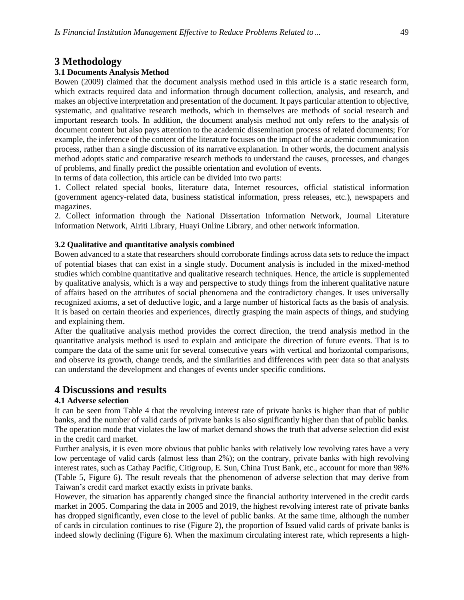## **3 Methodology**

#### **3.1 Documents Analysis Method**

Bowen (2009) claimed that the document analysis method used in this article is a static research form, which extracts required data and information through document collection, analysis, and research, and makes an objective interpretation and presentation of the document. It pays particular attention to objective, systematic, and qualitative research methods, which in themselves are methods of social research and important research tools. In addition, the document analysis method not only refers to the analysis of document content but also pays attention to the academic dissemination process of related documents; For example, the inference of the content of the literature focuses on the impact of the academic communication process, rather than a single discussion of its narrative explanation. In other words, the document analysis method adopts static and comparative research methods to understand the causes, processes, and changes of problems, and finally predict the possible orientation and evolution of events.

In terms of data collection, this article can be divided into two parts:

1. Collect related special books, literature data, Internet resources, official statistical information (government agency-related data, business statistical information, press releases, etc.), newspapers and magazines.

2. Collect information through the National Dissertation Information Network, Journal Literature Information Network, Airiti Library, Huayi Online Library, and other network information.

#### **3.2 Qualitative and quantitative analysis combined**

Bowen advanced to a state that researchers should corroborate findings across data sets to reduce the impact of potential biases that can exist in a single study. Document analysis is included in the mixed-method studies which combine quantitative and qualitative research techniques. Hence, the article is supplemented by qualitative analysis, which is a way and perspective to study things from the inherent qualitative nature of affairs based on the attributes of social phenomena and the contradictory changes. It uses universally recognized axioms, a set of deductive logic, and a large number of historical facts as the basis of analysis. It is based on certain theories and experiences, directly grasping the main aspects of things, and studying and explaining them.

After the qualitative analysis method provides the correct direction, the trend analysis method in the quantitative analysis method is used to explain and anticipate the direction of future events. That is to compare the data of the same unit for several consecutive years with vertical and horizontal comparisons, and observe its growth, change trends, and the similarities and differences with peer data so that analysts can understand the development and changes of events under specific conditions.

## **4 Discussions and results**

### **4.1 Adverse selection**

It can be seen from Table 4 that the revolving interest rate of private banks is higher than that of public banks, and the number of valid cards of private banks is also significantly higher than that of public banks. The operation mode that violates the law of market demand shows the truth that adverse selection did exist in the credit card market.

Further analysis, it is even more obvious that public banks with relatively low revolving rates have a very low percentage of valid cards (almost less than 2%); on the contrary, private banks with high revolving interest rates, such as Cathay Pacific, Citigroup, E. Sun, China Trust Bank, etc., account for more than 98% (Table 5, Figure 6). The result reveals that the phenomenon of adverse selection that may derive from Taiwan's credit card market exactly exists in private banks.

However, the situation has apparently changed since the financial authority intervened in the credit cards market in 2005. Comparing the data in 2005 and 2019, the highest revolving interest rate of private banks has dropped significantly, even close to the level of public banks. At the same time, although the number of cards in circulation continues to rise (Figure 2), the proportion of Issued valid cards of private banks is indeed slowly declining (Figure 6). When the maximum circulating interest rate, which represents a high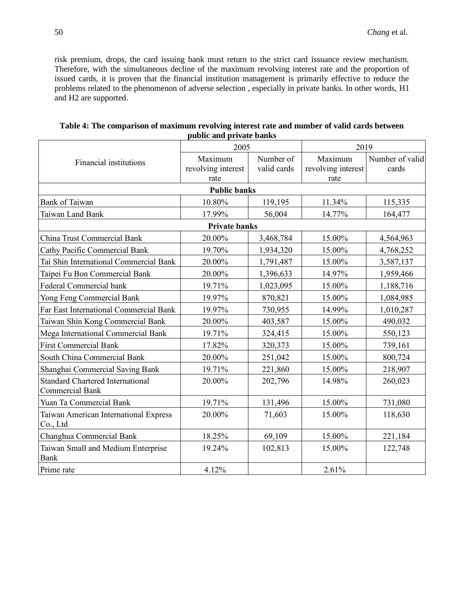risk premium, drops, the card issuing bank must return to the strict card issuance review mechanism. Therefore, with the simultaneous decline of the maximum revolving interest rate and the proportion of issued cards, it is proven that the financial institution management is primarily effective to reduce the problems related to the phenomenon of adverse selection , especially in private banks. In other words, H1 and H2 are supported.

|                                                                   | 2005                 |             | 2019               |                 |  |
|-------------------------------------------------------------------|----------------------|-------------|--------------------|-----------------|--|
| <b>Financial institutions</b>                                     | Maximum              | Number of   | Maximum            | Number of valid |  |
|                                                                   | revolving interest   | valid cards | revolving interest | cards           |  |
|                                                                   | rate                 |             | rate               |                 |  |
|                                                                   | <b>Public banks</b>  |             |                    |                 |  |
| <b>Bank of Taiwan</b>                                             | 10.80%               | 119,195     | 11.34%             | 115,335         |  |
| Taiwan Land Bank                                                  | 17.99%               | 56,004      | 14.77%             | 164,477         |  |
|                                                                   | <b>Private banks</b> |             |                    |                 |  |
| <b>China Trust Commercial Bank</b>                                | 20.00%               | 3,468,784   | 15.00%             | 4,564,963       |  |
| <b>Cathy Pacific Commercial Bank</b>                              | 19.70%               | 1,934,320   | 15.00%             | 4,768,252       |  |
| Tai Shin International Commercial Bank                            | 20.00%               | 1,791,487   | 15.00%             | 3,587,137       |  |
| Taipei Fu Bon Commercial Bank                                     | 20.00%               | 1,396,633   | 14.97%             | 1,959,466       |  |
| Federal Commercial bank                                           | 19.71%               | 1,023,095   | 15.00%             | 1,188,716       |  |
| Yong Feng Commercial Bank                                         | 19.97%               | 870,821     | 15.00%             | 1,084,985       |  |
| Far East International Commercial Bank                            | 19.97%               | 730,955     | 14.99%             | 1,010,287       |  |
| Taiwan Shin Kong Commercial Bank                                  | 20.00%               | 403,587     | 15.00%             | 490,032         |  |
| Mega International Commercial Bank                                | 19.71%               | 324,415     | 15.00%             | 550,123         |  |
| <b>First Commercial Bank</b>                                      | 17.82%               | 320,373     | 15.00%             | 739,161         |  |
| South China Commercial Bank                                       | 20.00%               | 251,042     | 15.00%             | 800,724         |  |
| Shanghai Commercial Saving Bank                                   | 19.71%               | 221,860     | 15.00%             | 218,907         |  |
| <b>Standard Chartered International</b><br><b>Commercial Bank</b> | 20.00%               | 202,796     | 14.98%             | 260,023         |  |
| Yuan Ta Commercial Bank                                           | 19.71%               | 131,496     | 15.00%             | 731,080         |  |
| Taiwan American International Express<br>Co., Ltd                 | 20.00%               | 71,603      | 15.00%             | 118,630         |  |
| Changhua Commercial Bank                                          | 18.25%               | 69,109      | 15.00%             | 221,184         |  |
| Taiwan Small and Medium Enterprise                                | 19.24%               | 102,813     | 15.00%             | 122,748         |  |
| <b>Bank</b>                                                       |                      |             |                    |                 |  |
| Prime rate                                                        | 4.12%                |             | 2.61%              |                 |  |

| Table 4: The comparison of maximum revolving interest rate and number of valid cards between |
|----------------------------------------------------------------------------------------------|
| public and private banks                                                                     |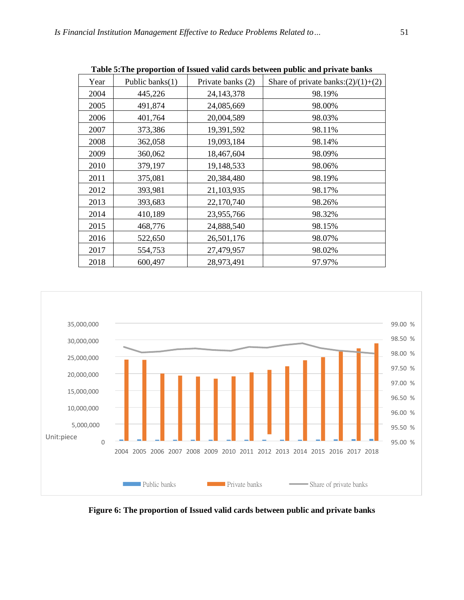|      |                    |                   | rabic of fire proportion or issued valid cards between public and private banks |
|------|--------------------|-------------------|---------------------------------------------------------------------------------|
| Year | Public banks $(1)$ | Private banks (2) | Share of private banks: $(2)/(1)+(2)$                                           |
| 2004 | 445,226            | 24, 143, 378      | 98.19%                                                                          |
| 2005 | 491,874            | 24,085,669        | 98.00%                                                                          |
| 2006 | 401,764            | 20,004,589        | 98.03%                                                                          |
| 2007 | 373,386            | 19,391,592        | 98.11%                                                                          |
| 2008 | 362,058            | 19,093,184        | 98.14%                                                                          |
| 2009 | 360,062            | 18,467,604        | 98.09%                                                                          |
| 2010 | 379,197            | 19,148,533        | 98.06%                                                                          |
| 2011 | 375,081            | 20,384,480        | 98.19%                                                                          |
| 2012 | 393,981            | 21,103,935        | 98.17%                                                                          |
| 2013 | 393,683            | 22,170,740        | 98.26%                                                                          |
| 2014 | 410,189            | 23,955,766        | 98.32%                                                                          |
| 2015 | 468,776            | 24,888,540        | 98.15%                                                                          |
| 2016 | 522,650            | 26,501,176        | 98.07%                                                                          |
| 2017 | 554,753            | 27,479,957        | 98.02%                                                                          |
| 2018 | 600,497            | 28,973,491        | 97.97%                                                                          |

**Table 5:The proportion of Issued valid cards between public and private banks**



**Figure 6: The proportion of Issued valid cards between public and private banks**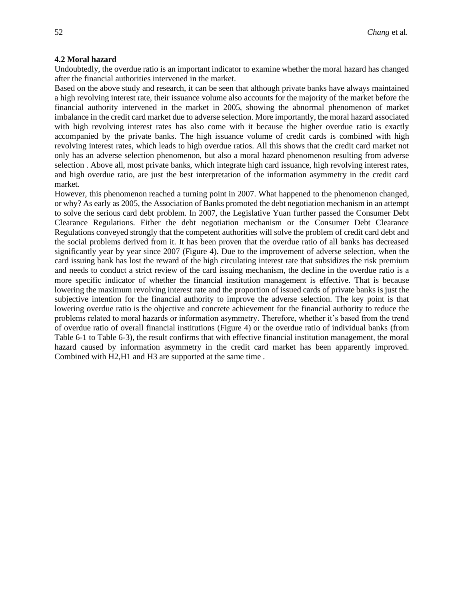#### **4.2 Moral hazard**

Undoubtedly, the overdue ratio is an important indicator to examine whether the moral hazard has changed after the financial authorities intervened in the market.

Based on the above study and research, it can be seen that although private banks have always maintained a high revolving interest rate, their issuance volume also accounts for the majority of the market before the financial authority intervened in the market in 2005, showing the abnormal phenomenon of market imbalance in the credit card market due to adverse selection. More importantly, the moral hazard associated with high revolving interest rates has also come with it because the higher overdue ratio is exactly accompanied by the private banks. The high issuance volume of credit cards is combined with high revolving interest rates, which leads to high overdue ratios. All this shows that the credit card market not only has an adverse selection phenomenon, but also a moral hazard phenomenon resulting from adverse selection . Above all, most private banks, which integrate high card issuance, high revolving interest rates, and high overdue ratio, are just the best interpretation of the information asymmetry in the credit card market.

However, this phenomenon reached a turning point in 2007. What happened to the phenomenon changed, or why? As early as 2005, the Association of Banks promoted the debt negotiation mechanism in an attempt to solve the serious card debt problem. In 2007, the Legislative Yuan further passed the Consumer Debt Clearance Regulations. Either the debt negotiation mechanism or the Consumer Debt Clearance Regulations conveyed strongly that the competent authorities will solve the problem of credit card debt and the social problems derived from it. It has been proven that the overdue ratio of all banks has decreased significantly year by year since 2007 (Figure 4). Due to the improvement of adverse selection, when the card issuing bank has lost the reward of the high circulating interest rate that subsidizes the risk premium and needs to conduct a strict review of the card issuing mechanism, the decline in the overdue ratio is a more specific indicator of whether the financial institution management is effective. That is because lowering the maximum revolving interest rate and the proportion of issued cards of private banks is just the subjective intention for the financial authority to improve the adverse selection. The key point is that lowering overdue ratio is the objective and concrete achievement for the financial authority to reduce the problems related to moral hazards or information asymmetry. Therefore, whether it's based from the trend of overdue ratio of overall financial institutions (Figure 4) or the overdue ratio of individual banks (from Table 6-1 to Table 6-3), the result confirms that with effective financial institution management, the moral hazard caused by information asymmetry in the credit card market has been apparently improved. Combined with H2,H1 and H3 are supported at the same time .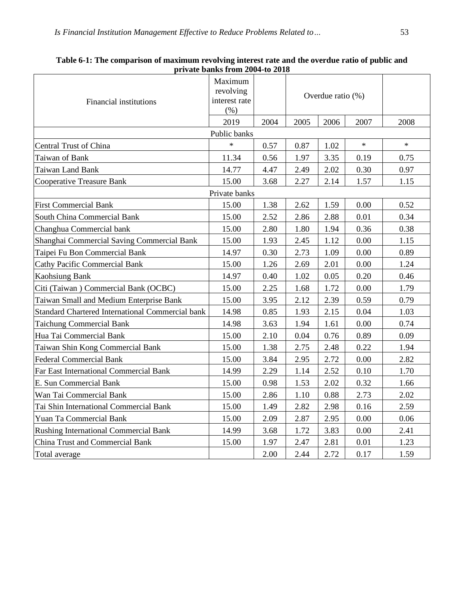| Financial institutions                                  | Maximum<br>revolving<br>interest rate<br>(% ) |      | Overdue ratio (%) |      |        |        |
|---------------------------------------------------------|-----------------------------------------------|------|-------------------|------|--------|--------|
|                                                         | 2019                                          | 2004 | 2005              | 2006 | 2007   | 2008   |
|                                                         | Public banks                                  |      |                   |      |        |        |
| Central Trust of China                                  | $\ast$                                        | 0.57 | 0.87              | 1.02 | $\ast$ | $\ast$ |
| Taiwan of Bank                                          | 11.34                                         | 0.56 | 1.97              | 3.35 | 0.19   | 0.75   |
| Taiwan Land Bank                                        | 14.77                                         | 4.47 | 2.49              | 2.02 | 0.30   | 0.97   |
| <b>Cooperative Treasure Bank</b>                        | 15.00                                         | 3.68 | 2.27              | 2.14 | 1.57   | 1.15   |
|                                                         | Private banks                                 |      |                   |      |        |        |
| <b>First Commercial Bank</b>                            | 15.00                                         | 1.38 | 2.62              | 1.59 | 0.00   | 0.52   |
| South China Commercial Bank                             | 15.00                                         | 2.52 | 2.86              | 2.88 | 0.01   | 0.34   |
| Changhua Commercial bank                                | 15.00                                         | 2.80 | 1.80              | 1.94 | 0.36   | 0.38   |
| Shanghai Commercial Saving Commercial Bank              | 15.00                                         | 1.93 | 2.45              | 1.12 | 0.00   | 1.15   |
| Taipei Fu Bon Commercial Bank                           | 14.97                                         | 0.30 | 2.73              | 1.09 | 0.00   | 0.89   |
| <b>Cathy Pacific Commercial Bank</b>                    | 15.00                                         | 1.26 | 2.69              | 2.01 | 0.00   | 1.24   |
| <b>Kaohsiung Bank</b>                                   | 14.97                                         | 0.40 | 1.02              | 0.05 | 0.20   | 0.46   |
| Citi (Taiwan) Commercial Bank (OCBC)                    | 15.00                                         | 2.25 | 1.68              | 1.72 | 0.00   | 1.79   |
| Taiwan Small and Medium Enterprise Bank                 | 15.00                                         | 3.95 | 2.12              | 2.39 | 0.59   | 0.79   |
| <b>Standard Chartered International Commercial bank</b> | 14.98                                         | 0.85 | 1.93              | 2.15 | 0.04   | 1.03   |
| <b>Taichung Commercial Bank</b>                         | 14.98                                         | 3.63 | 1.94              | 1.61 | 0.00   | 0.74   |
| Hua Tai Commercial Bank                                 | 15.00                                         | 2.10 | 0.04              | 0.76 | 0.89   | 0.09   |
| Taiwan Shin Kong Commercial Bank                        | 15.00                                         | 1.38 | 2.75              | 2.48 | 0.22   | 1.94   |
| <b>Federal Commercial Bank</b>                          | 15.00                                         | 3.84 | 2.95              | 2.72 | 0.00   | 2.82   |
| Far East International Commercial Bank                  | 14.99                                         | 2.29 | 1.14              | 2.52 | 0.10   | 1.70   |
| E. Sun Commercial Bank                                  | 15.00                                         | 0.98 | 1.53              | 2.02 | 0.32   | 1.66   |
| Wan Tai Commercial Bank                                 | 15.00                                         | 2.86 | 1.10              | 0.88 | 2.73   | 2.02   |
| Tai Shin International Commercial Bank                  | 15.00                                         | 1.49 | 2.82              | 2.98 | 0.16   | 2.59   |
| Yuan Ta Commercial Bank                                 | 15.00                                         | 2.09 | 2.87              | 2.95 | 0.00   | 0.06   |
| <b>Rushing International Commercial Bank</b>            | 14.99                                         | 3.68 | 1.72              | 3.83 | 0.00   | 2.41   |
| China Trust and Commercial Bank                         | 15.00                                         | 1.97 | 2.47              | 2.81 | 0.01   | 1.23   |
| Total average                                           |                                               | 2.00 | 2.44              | 2.72 | 0.17   | 1.59   |

| Table 6-1: The comparison of maximum revolving interest rate and the overdue ratio of public and |
|--------------------------------------------------------------------------------------------------|
| private banks from 2004-to 2018                                                                  |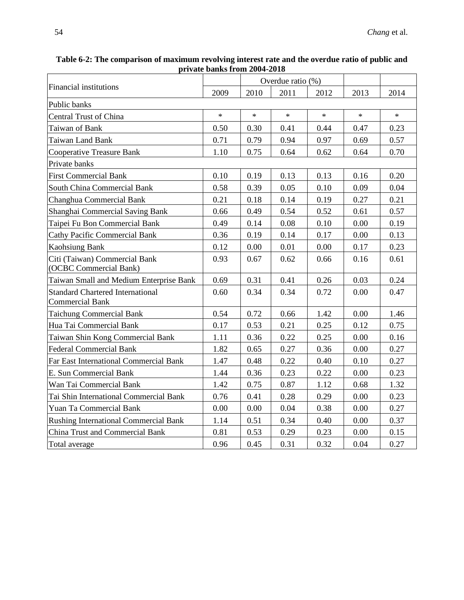| private banks from 2004-2018                                      |        |        |                   |        |        |        |
|-------------------------------------------------------------------|--------|--------|-------------------|--------|--------|--------|
|                                                                   |        |        | Overdue ratio (%) |        |        |        |
| Financial institutions                                            | 2009   | 2010   | 2011              | 2012   | 2013   | 2014   |
| Public banks                                                      |        |        |                   |        |        |        |
| Central Trust of China                                            | $\ast$ | $\ast$ | $\star$           | $\ast$ | $\ast$ | $\ast$ |
| Taiwan of Bank                                                    | 0.50   | 0.30   | 0.41              | 0.44   | 0.47   | 0.23   |
| <b>Taiwan Land Bank</b>                                           | 0.71   | 0.79   | 0.94              | 0.97   | 0.69   | 0.57   |
| Cooperative Treasure Bank                                         | 1.10   | 0.75   | 0.64              | 0.62   | 0.64   | 0.70   |
| Private banks                                                     |        |        |                   |        |        |        |
| <b>First Commercial Bank</b>                                      | 0.10   | 0.19   | 0.13              | 0.13   | 0.16   | 0.20   |
| South China Commercial Bank                                       | 0.58   | 0.39   | 0.05              | 0.10   | 0.09   | 0.04   |
| Changhua Commercial Bank                                          | 0.21   | 0.18   | 0.14              | 0.19   | 0.27   | 0.21   |
| Shanghai Commercial Saving Bank                                   | 0.66   | 0.49   | 0.54              | 0.52   | 0.61   | 0.57   |
| Taipei Fu Bon Commercial Bank                                     | 0.49   | 0.14   | 0.08              | 0.10   | 0.00   | 0.19   |
| <b>Cathy Pacific Commercial Bank</b>                              | 0.36   | 0.19   | 0.14              | 0.17   | 0.00   | 0.13   |
| <b>Kaohsiung Bank</b>                                             | 0.12   | 0.00   | 0.01              | 0.00   | 0.17   | 0.23   |
| Citi (Taiwan) Commercial Bank<br>(OCBC Commercial Bank)           | 0.93   | 0.67   | 0.62              | 0.66   | 0.16   | 0.61   |
| Taiwan Small and Medium Enterprise Bank                           | 0.69   | 0.31   | 0.41              | 0.26   | 0.03   | 0.24   |
| <b>Standard Chartered International</b><br><b>Commercial Bank</b> | 0.60   | 0.34   | 0.34              | 0.72   | 0.00   | 0.47   |
| <b>Taichung Commercial Bank</b>                                   | 0.54   | 0.72   | 0.66              | 1.42   | 0.00   | 1.46   |
| Hua Tai Commercial Bank                                           | 0.17   | 0.53   | 0.21              | 0.25   | 0.12   | 0.75   |
| Taiwan Shin Kong Commercial Bank                                  | 1.11   | 0.36   | 0.22              | 0.25   | 0.00   | 0.16   |
| <b>Federal Commercial Bank</b>                                    | 1.82   | 0.65   | 0.27              | 0.36   | 0.00   | 0.27   |
| <b>Far East International Commercial Bank</b>                     | 1.47   | 0.48   | 0.22              | 0.40   | 0.10   | 0.27   |
| E. Sun Commercial Bank                                            | 1.44   | 0.36   | 0.23              | 0.22   | 0.00   | 0.23   |
| Wan Tai Commercial Bank                                           | 1.42   | 0.75   | 0.87              | 1.12   | 0.68   | 1.32   |
| Tai Shin International Commercial Bank                            | 0.76   | 0.41   | 0.28              | 0.29   | 0.00   | 0.23   |
| Yuan Ta Commercial Bank                                           | 0.00   | 0.00   | 0.04              | 0.38   | 0.00   | 0.27   |

Rushing International Commercial Bank 1.14 0.51 0.34 0.40 0.00 0.37 China Trust and Commercial Bank 0.81 0.53 0.29 0.23 0.00 0.15 Total average 10.96 0.45 0.31 0.32 0.04 0.27

**Table 6-2: The comparison of maximum revolving interest rate and the overdue ratio of public and**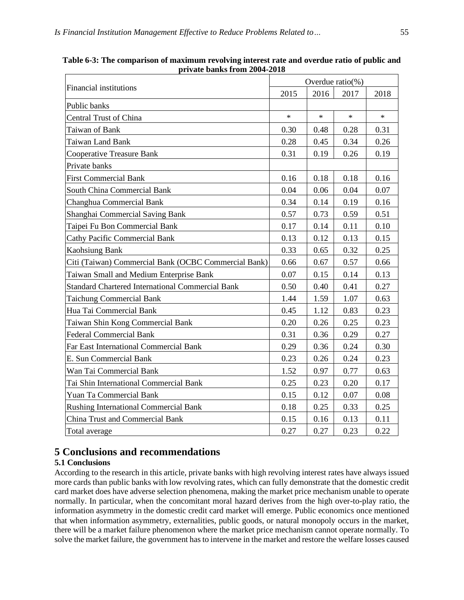| Financial institutions                                  |        | Overdue $ratio(\%)$ |        |        |  |  |
|---------------------------------------------------------|--------|---------------------|--------|--------|--|--|
|                                                         |        | 2016                | 2017   | 2018   |  |  |
| Public banks                                            |        |                     |        |        |  |  |
| Central Trust of China                                  | $\ast$ | $\ast$              | $\ast$ | $\ast$ |  |  |
| Taiwan of Bank                                          | 0.30   | 0.48                | 0.28   | 0.31   |  |  |
| <b>Taiwan Land Bank</b>                                 | 0.28   | 0.45                | 0.34   | 0.26   |  |  |
| <b>Cooperative Treasure Bank</b>                        | 0.31   | 0.19                | 0.26   | 0.19   |  |  |
| Private banks                                           |        |                     |        |        |  |  |
| <b>First Commercial Bank</b>                            | 0.16   | 0.18                | 0.18   | 0.16   |  |  |
| South China Commercial Bank                             | 0.04   | 0.06                | 0.04   | 0.07   |  |  |
| Changhua Commercial Bank                                | 0.34   | 0.14                | 0.19   | 0.16   |  |  |
| Shanghai Commercial Saving Bank                         | 0.57   | 0.73                | 0.59   | 0.51   |  |  |
| Taipei Fu Bon Commercial Bank                           | 0.17   | 0.14                | 0.11   | 0.10   |  |  |
| <b>Cathy Pacific Commercial Bank</b>                    | 0.13   | 0.12                | 0.13   | 0.15   |  |  |
| <b>Kaohsiung Bank</b>                                   | 0.33   | 0.65                | 0.32   | 0.25   |  |  |
| Citi (Taiwan) Commercial Bank (OCBC Commercial Bank)    | 0.66   | 0.67                | 0.57   | 0.66   |  |  |
| Taiwan Small and Medium Enterprise Bank                 | 0.07   | 0.15                | 0.14   | 0.13   |  |  |
| <b>Standard Chartered International Commercial Bank</b> | 0.50   | 0.40                | 0.41   | 0.27   |  |  |
| <b>Taichung Commercial Bank</b>                         | 1.44   | 1.59                | 1.07   | 0.63   |  |  |
| Hua Tai Commercial Bank                                 | 0.45   | 1.12                | 0.83   | 0.23   |  |  |
| Taiwan Shin Kong Commercial Bank                        | 0.20   | 0.26                | 0.25   | 0.23   |  |  |
| <b>Federal Commercial Bank</b>                          | 0.31   | 0.36                | 0.29   | 0.27   |  |  |
| <b>Far East International Commercial Bank</b>           | 0.29   | 0.36                | 0.24   | 0.30   |  |  |
| E. Sun Commercial Bank                                  | 0.23   | 0.26                | 0.24   | 0.23   |  |  |
| Wan Tai Commercial Bank                                 | 1.52   | 0.97                | 0.77   | 0.63   |  |  |
| Tai Shin International Commercial Bank                  | 0.25   | 0.23                | 0.20   | 0.17   |  |  |
| <b>Yuan Ta Commercial Bank</b>                          | 0.15   | 0.12                | 0.07   | 0.08   |  |  |
| Rushing International Commercial Bank                   | 0.18   | 0.25                | 0.33   | 0.25   |  |  |
| China Trust and Commercial Bank                         | 0.15   | 0.16                | 0.13   | 0.11   |  |  |
| Total average                                           | 0.27   | 0.27                | 0.23   | 0.22   |  |  |

**Table 6-3: The comparison of maximum revolving interest rate and overdue ratio of public and private banks from 2004-2018**

## **5 Conclusions and recommendations**

## **5.1 Conclusions**

According to the research in this article, private banks with high revolving interest rates have always issued more cards than public banks with low revolving rates, which can fully demonstrate that the domestic credit card market does have adverse selection phenomena, making the market price mechanism unable to operate normally. In particular, when the concomitant moral hazard derives from the high over-to-play ratio, the information asymmetry in the domestic credit card market will emerge. Public economics once mentioned that when information asymmetry, externalities, public goods, or natural monopoly occurs in the market, there will be a market failure phenomenon where the market price mechanism cannot operate normally. To solve the market failure, the government has to intervene in the market and restore the welfare losses caused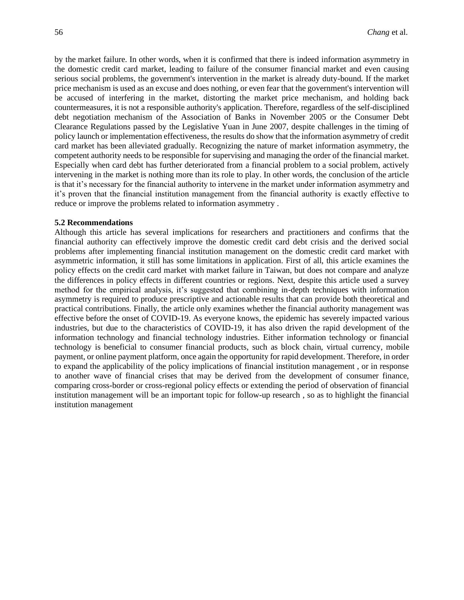by the market failure. In other words, when it is confirmed that there is indeed information asymmetry in the domestic credit card market, leading to failure of the consumer financial market and even causing serious social problems, the government's intervention in the market is already duty-bound. If the market price mechanism is used as an excuse and does nothing, or even fear that the government's intervention will be accused of interfering in the market, distorting the market price mechanism, and holding back countermeasures, it is not a responsible authority's application. Therefore, regardless of the self-disciplined debt negotiation mechanism of the Association of Banks in November 2005 or the Consumer Debt Clearance Regulations passed by the Legislative Yuan in June 2007, despite challenges in the timing of policy launch or implementation effectiveness, the results do show that the information asymmetry of credit card market has been alleviated gradually. Recognizing the nature of market information asymmetry, the competent authority needs to be responsible for supervising and managing the order of the financial market. Especially when card debt has further deteriorated from a financial problem to a social problem, actively intervening in the market is nothing more than its role to play. In other words, the conclusion of the article is that it's necessary for the financial authority to intervene in the market under information asymmetry and it's proven that the financial institution management from the financial authority is exactly effective to reduce or improve the problems related to information asymmetry .

#### **5.2 Recommendations**

Although this article has several implications for researchers and practitioners and confirms that the financial authority can effectively improve the domestic credit card debt crisis and the derived social problems after implementing financial institution management on the domestic credit card market with asymmetric information, it still has some limitations in application. First of all, this article examines the policy effects on the credit card market with market failure in Taiwan, but does not compare and analyze the differences in policy effects in different countries or regions. Next, despite this article used a survey method for the empirical analysis, it's suggested that combining in-depth techniques with information asymmetry is required to produce prescriptive and actionable results that can provide both theoretical and practical contributions. Finally, the article only examines whether the financial authority management was effective before the onset of COVID-19. As everyone knows, the epidemic has severely impacted various industries, but due to the characteristics of COVID-19, it has also driven the rapid development of the information technology and financial technology industries. Either information technology or financial technology is beneficial to consumer financial products, such as block chain, virtual currency, mobile payment, or online payment platform, once again the opportunity for rapid development. Therefore, in order to expand the applicability of the policy implications of financial institution management , or in response to another wave of financial crises that may be derived from the development of consumer finance, comparing cross-border or cross-regional policy effects or extending the period of observation of financial institution management will be an important topic for follow-up research , so as to highlight the financial institution management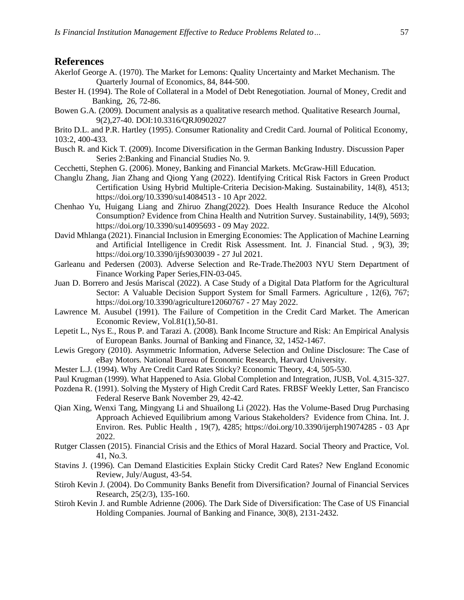## **References**

- Akerlof George A. (1970). The Market for Lemons: Quality Uncertainty and Market Mechanism. The Quarterly Journal of Economics, 84, 844-500.
- Bester H. (1994). The Role of Collateral in a Model of Debt Renegotiation. Journal of Money, Credit and Banking, 26, 72-86.
- Bowen G.A. (2009). Document analysis as a qualitative research method. Qualitative Research Journal, 9(2),27-40. DOI:10.3316/QRJ0902027
- Brito D.L. and P.R. Hartley (1995). Consumer Rationality and Credit Card. Journal of Political Economy, 103:2, 400-433.
- Busch R. and Kick T. (2009). Income Diversification in the German Banking Industry. Discussion Paper Series 2:Banking and Financial Studies No. 9.
- Cecchetti, Stephen G. (2006). Money, Banking and Financial Markets. McGraw-Hill Education.
- Changlu Zhang, Jian Zhang and Qiong Yang (2022). Identifying Critical Risk Factors in Green Product Certification Using Hybrid Multiple-Criteria Decision-Making. Sustainability, 14(8), 4513; [https://doi.org/10.3390/su14084513 -](https://doi.org/10.3390/su14084513%20-%2010%20Apr%202022) 10 Apr 2022.
- Chenhao Yu, Huigang Liang and Zhiruo Zhang(2022). Does Health Insurance Reduce the Alcohol Consumption? Evidence from China Health and Nutrition Survey. Sustainability, 14(9), 5693; [https://doi.org/10.3390/su14095693 -](https://doi.org/10.3390/su14095693%20-%2009%20May%202022) 09 May 2022.
- David Mhlanga (2021). Financial Inclusion in Emerging Economies: The Application of Machine Learning and Artificial Intelligence in Credit Risk Assessment. Int. J. Financial Stud. , 9(3), 39; [https://doi.org/10.3390/ijfs9030039 -](https://doi.org/10.3390/ijfs9030039%20-%2027%20Jul%202021) 27 Jul 2021.
- Garleanu and Pedersen (2003). Adverse Selection and Re-Trade.The2003 NYU Stern Department of Finance Working Paper Series,FIN-03-045.
- Juan D. Borrero and Jesús Mariscal (2022). A Case Study of a Digital Data Platform for the Agricultural Sector: A Valuable Decision Support System for Small Farmers. Agriculture , 12(6), 767; [https://doi.org/10.3390/agriculture12060767 -](https://doi.org/10.3390/agriculture12060767%20-%2027%20May%202022) 27 May 2022.
- Lawrence M. Ausubel (1991). The Failure of Competition in the Credit Card Market. The American Economic Review, Vol.81(1),50-81.
- Lepetit L., Nys E., Rous P. and Tarazi A. (2008). Bank Income Structure and Risk: An Empirical Analysis of European Banks. Journal of Banking and Finance, 32, 1452-1467.
- Lewis Gregory (2010). Asymmetric Information, Adverse Selection and Online Disclosure: The Case of eBay Motors. National Bureau of Economic Research, Harvard University.
- Mester L.J. (1994). Why Are Credit Card Rates Sticky? Economic Theory, 4:4, 505-530.
- Paul Krugman (1999). What Happened to Asia. Global Completion and Integration, JUSB, Vol. 4,315-327.
- Pozdena R. (1991). Solving the Mystery of High Credit Card Rates. FRBSF Weekly Letter, San Francisco Federal Reserve Bank November 29, 42-42.
- Qian Xing, Wenxi Tang, Mingyang Li and Shuailong Li (2022). Has the Volume-Based Drug Purchasing Approach Achieved Equilibrium among Various Stakeholders? Evidence from China. Int. J. Environ. Res. Public Health , 19(7), 4285; [https://doi.org/10.3390/ijerph19074285 -](https://doi.org/10.3390/ijerph19074285%20-%2003%20Apr%202022) 03 Apr [2022.](https://doi.org/10.3390/ijerph19074285%20-%2003%20Apr%202022)
- Rutger Classen (2015). Financial Crisis and the Ethics of Moral Hazard. Social Theory and Practice, Vol. 41, No.3.
- Stavins J. (1996). Can Demand Elasticities Explain Sticky Credit Card Rates? New England Economic Review, July/August, 43-54.
- Stiroh Kevin J. (2004). Do Community Banks Benefit from Diversification? Journal of Financial Services Research, 25(2/3), 135-160.
- Stiroh Kevin J. and Rumble Adrienne (2006). The Dark Side of Diversification: The Case of US Financial Holding Companies. Journal of Banking and Finance, 30(8), 2131-2432.